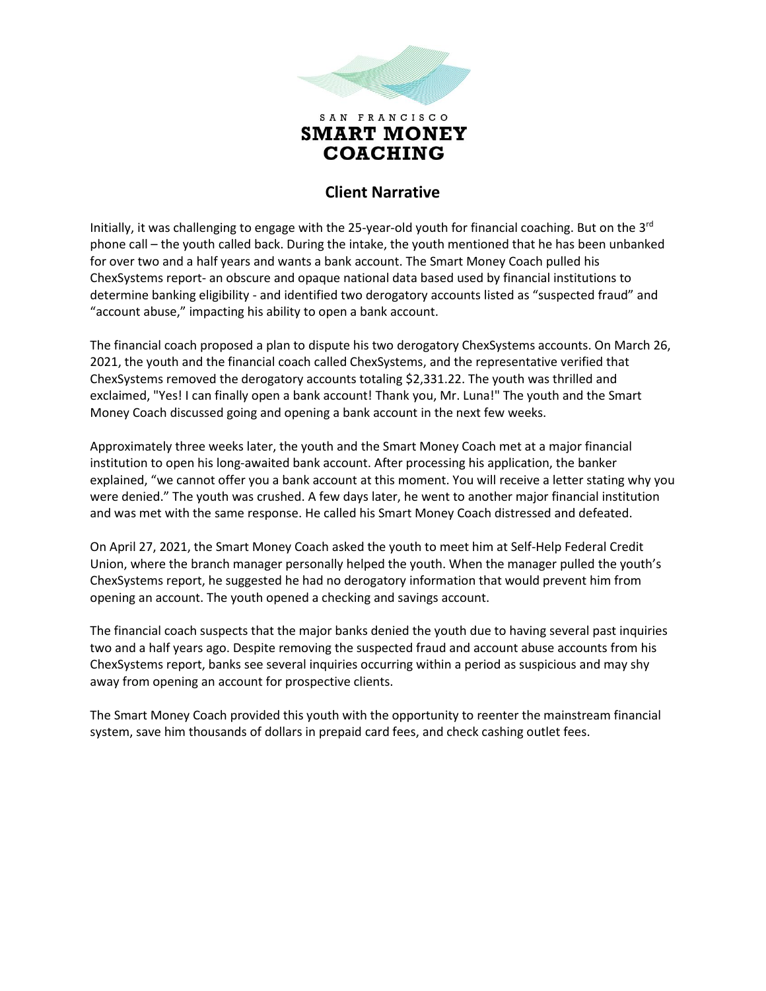

## **Client Narrative**

Initially, it was challenging to engage with the 25-year-old youth for financial coaching. But on the  $3<sup>rd</sup>$ phone call – the youth called back. During the intake, the youth mentioned that he has been unbanked for over two and a half years and wants a bank account. The Smart Money Coach pulled his ChexSystems report- an obscure and opaque national data based used by financial institutions to determine banking eligibility - and identified two derogatory accounts listed as "suspected fraud" and "account abuse," impacting his ability to open a bank account.

The financial coach proposed a plan to dispute his two derogatory ChexSystems accounts. On March 26, 2021, the youth and the financial coach called ChexSystems, and the representative verified that ChexSystems removed the derogatory accounts totaling \$2,331.22. The youth was thrilled and exclaimed, "Yes! I can finally open a bank account! Thank you, Mr. Luna!" The youth and the Smart Money Coach discussed going and opening a bank account in the next few weeks.

Approximately three weeks later, the youth and the Smart Money Coach met at a major financial institution to open his long-awaited bank account. After processing his application, the banker explained, "we cannot offer you a bank account at this moment. You will receive a letter stating why you were denied." The youth was crushed. A few days later, he went to another major financial institution and was met with the same response. He called his Smart Money Coach distressed and defeated.

On April 27, 2021, the Smart Money Coach asked the youth to meet him at Self-Help Federal Credit Union, where the branch manager personally helped the youth. When the manager pulled the youth's ChexSystems report, he suggested he had no derogatory information that would prevent him from opening an account. The youth opened a checking and savings account.

The financial coach suspects that the major banks denied the youth due to having several past inquiries two and a half years ago. Despite removing the suspected fraud and account abuse accounts from his ChexSystems report, banks see several inquiries occurring within a period as suspicious and may shy away from opening an account for prospective clients.

The Smart Money Coach provided this youth with the opportunity to reenter the mainstream financial system, save him thousands of dollars in prepaid card fees, and check cashing outlet fees.